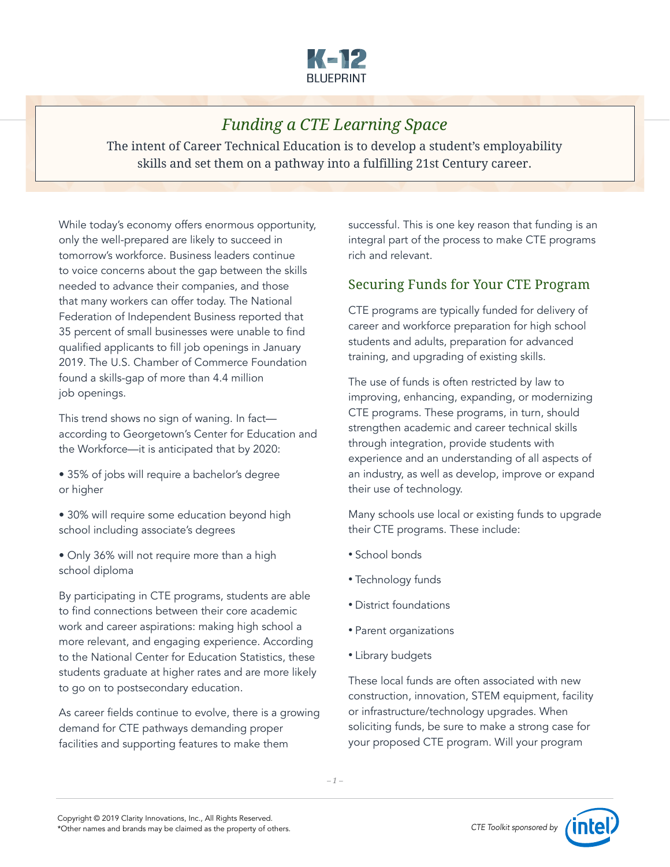

# *Funding a CTE Learning Space*

The intent of Career Technical Education is to develop a student's employability skills and set them on a pathway into a fulfilling 21st Century career.

While today's economy offers enormous opportunity, only the well-prepared are likely to succeed in tomorrow's workforce. Business leaders continue to voice concerns about the gap between the skills needed to advance their companies, and those that many workers can offer today. The National Federation of Independent Business reported that 35 percent of small businesses were unable to find qualified applicants to fill job openings in January 2019. The U.S. Chamber of Commerce Foundation found a skills-gap of more than 4.4 million job openings.

This trend shows no sign of waning. In fact according to Georgetown's Center for Education and the Workforce—it is anticipated that by 2020:

- 35% of jobs will require a bachelor's degree or higher
- 30% will require some education beyond high school including associate's degrees
- Only 36% will not require more than a high school diploma

By participating in CTE programs, students are able to find connections between their core academic work and career aspirations: making high school a more relevant, and engaging experience. According to the National Center for Education Statistics, these students graduate at higher rates and are more likely to go on to postsecondary education.

As career fields continue to evolve, there is a growing demand for CTE pathways demanding proper facilities and supporting features to make them

successful. This is one key reason that funding is an integral part of the process to make CTE programs rich and relevant.

### Securing Funds for Your CTE Program

CTE programs are typically funded for delivery of career and workforce preparation for high school students and adults, preparation for advanced training, and upgrading of existing skills.

The use of funds is often restricted by law to improving, enhancing, expanding, or modernizing CTE programs. These programs, in turn, should strengthen academic and career technical skills through integration, provide students with experience and an understanding of all aspects of an industry, as well as develop, improve or expand their use of technology.

Many schools use local or existing funds to upgrade their CTE programs. These include:

- School bonds
- Technology funds
- District foundations
- Parent organizations
- Library budgets

These local funds are often associated with new construction, innovation, STEM equipment, facility or infrastructure/technology upgrades. When soliciting funds, be sure to make a strong case for your proposed CTE program. Will your program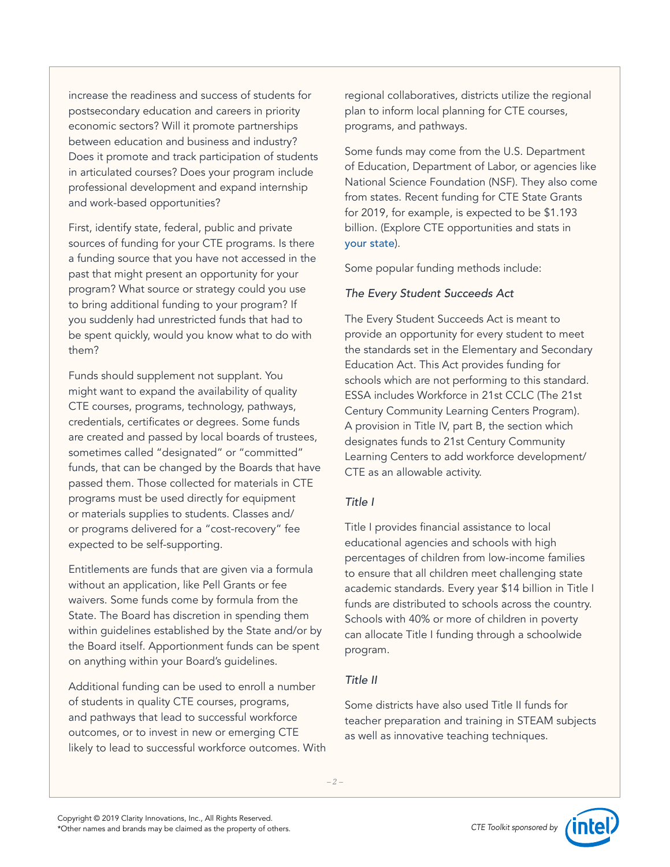increase the readiness and success of students for postsecondary education and careers in priority economic sectors? Will it promote partnerships between education and business and industry? Does it promote and track participation of students in articulated courses? Does your program include professional development and expand internship and work-based opportunities?

First, identify state, federal, public and private sources of funding for your CTE programs. Is there a funding source that you have not accessed in the past that might present an opportunity for your program? What source or strategy could you use to bring additional funding to your program? If you suddenly had unrestricted funds that had to be spent quickly, would you know what to do with them?

Funds should supplement not supplant. You might want to expand the availability of quality CTE courses, programs, technology, pathways, credentials, certificates or degrees. Some funds are created and passed by local boards of trustees, sometimes called "designated" or "committed" funds, that can be changed by the Boards that have passed them. Those collected for materials in CTE programs must be used directly for equipment or materials supplies to students. Classes and/ or programs delivered for a "cost-recovery" fee expected to be self-supporting.

Entitlements are funds that are given via a formula without an application, like Pell Grants or fee waivers. Some funds come by formula from the State. The Board has discretion in spending them within guidelines established by the State and/or by the Board itself. Apportionment funds can be spent on anything within your Board's guidelines.

Additional funding can be used to enroll a number of students in quality CTE courses, programs, and pathways that lead to successful workforce outcomes, or to invest in new or emerging CTE likely to lead to successful workforce outcomes. With

regional collaboratives, districts utilize the regional plan to inform local planning for CTE courses, programs, and pathways.

Some funds may come from the U.S. Department of Education, Department of Labor, or agencies like National Science Foundation (NSF). They also come from states. Recent funding for CTE State Grants for 2019, for example, is expected to be \$1.193 billion. (Explore CTE opportunities and stats in [your state](https://careertech.org/cte-your-state)).

Some popular funding methods include:

#### *The Every Student Succeeds Act*

The Every Student Succeeds Act is meant to provide an opportunity for every student to meet the standards set in the Elementary and Secondary Education Act. This Act provides funding for schools which are not performing to this standard. ESSA includes Workforce in 21st CCLC (The 21st Century Community Learning Centers Program). A provision in Title IV, part B, the section which designates funds to 21st Century Community Learning Centers to add workforce development/ CTE as an allowable activity.

#### *Title I*

Title I provides financial assistance to local educational agencies and schools with high percentages of children from low-income families to ensure that all children meet challenging state academic standards. Every year \$14 billion in Title I funds are distributed to schools across the country. Schools with 40% or more of children in poverty can allocate Title I funding through a schoolwide program.

### *Title II*

Some districts have also used Title II funds for teacher preparation and training in STEAM subjects as well as innovative teaching techniques.

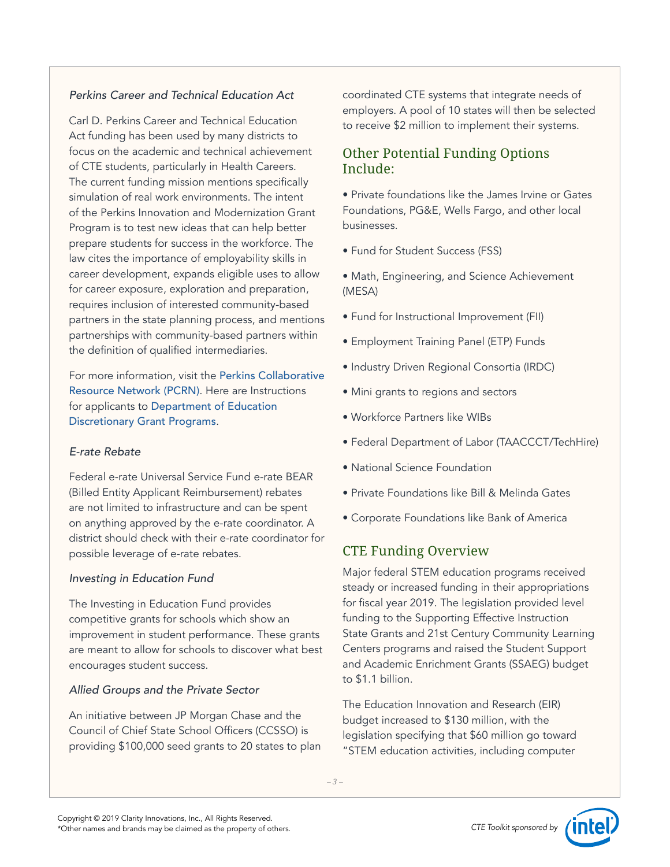#### *Perkins Career and Technical Education Act*

Carl D. Perkins Career and Technical Education Act funding has been used by many districts to focus on the academic and technical achievement of CTE students, particularly in Health Careers. The current funding mission mentions specifically simulation of real work environments. The intent of the Perkins Innovation and Modernization Grant Program is to test new ideas that can help better prepare students for success in the workforce. The law cites the importance of employability skills in career development, expands eligible uses to allow for career exposure, exploration and preparation, requires inclusion of interested community-based partners in the state planning process, and mentions partnerships with community-based partners within the definition of qualified intermediaries.

For more information, visit the [Perkins Collaborative](http://cte.ed.gov/)  [Resource Network \(PCRN\)](http://cte.ed.gov/). Here are Instructions for applicants to [Department of Education](http://www.govinfo.gov/content/pkg/FR-2019-02-13/pdf/2019-02206.pdf)  [Discretionary Grant Programs](http://www.govinfo.gov/content/pkg/FR-2019-02-13/pdf/2019-02206.pdf).

#### *E-rate Rebate*

Federal e-rate Universal Service Fund e-rate BEAR (Billed Entity Applicant Reimbursement) rebates are not limited to infrastructure and can be spent on anything approved by the e-rate coordinator. A district should check with their e-rate coordinator for possible leverage of e-rate rebates.

#### *Investing in Education Fund*

The Investing in Education Fund provides competitive grants for schools which show an improvement in student performance. These grants are meant to allow for schools to discover what best encourages student success.

#### *Allied Groups and the Private Sector*

An initiative between JP Morgan Chase and the Council of Chief State School Officers (CCSSO) is providing \$100,000 seed grants to 20 states to plan coordinated CTE systems that integrate needs of employers. A pool of 10 states will then be selected to receive \$2 million to implement their systems.

### Other Potential Funding Options Include:

• Private foundations like the James Irvine or Gates Foundations, PG&E, Wells Fargo, and other local businesses.

• Fund for Student Success (FSS)

• Math, Engineering, and Science Achievement (MESA)

- Fund for Instructional Improvement (FII)
- Employment Training Panel (ETP) Funds
- Industry Driven Regional Consortia (IRDC)
- Mini grants to regions and sectors
- Workforce Partners like WIBs
- Federal Department of Labor (TAACCCT/TechHire)
- National Science Foundation
- Private Foundations like Bill & Melinda Gates
- Corporate Foundations like Bank of America

## CTE Funding Overview

Major federal STEM education programs received steady or increased funding in their appropriations for fiscal year 2019. The legislation provided level funding to the Supporting Effective Instruction State Grants and 21st Century Community Learning Centers programs and raised the Student Support and Academic Enrichment Grants (SSAEG) budget to \$1.1 billion.

The Education Innovation and Research (EIR) budget increased to \$130 million, with the legislation specifying that \$60 million go toward "STEM education activities, including computer